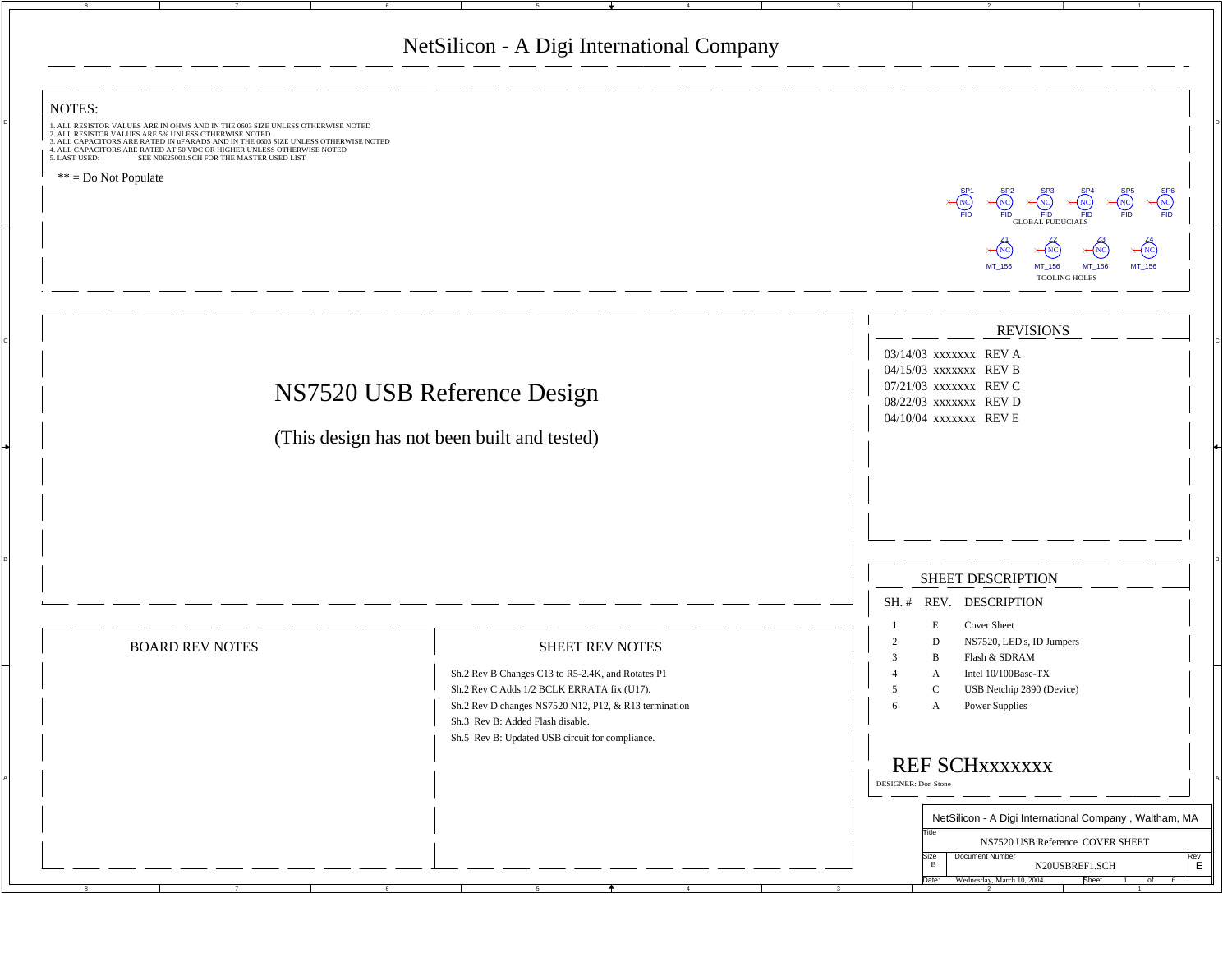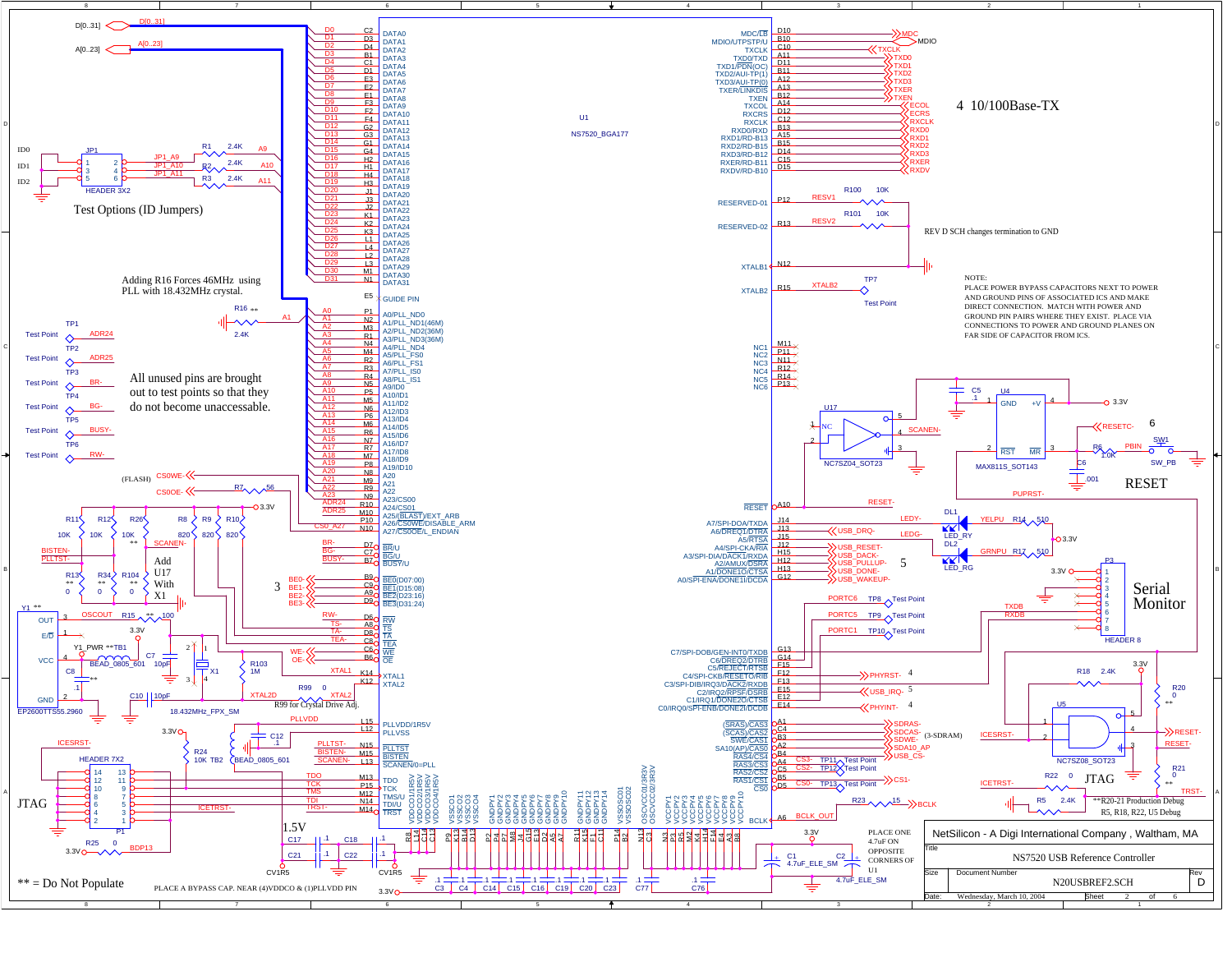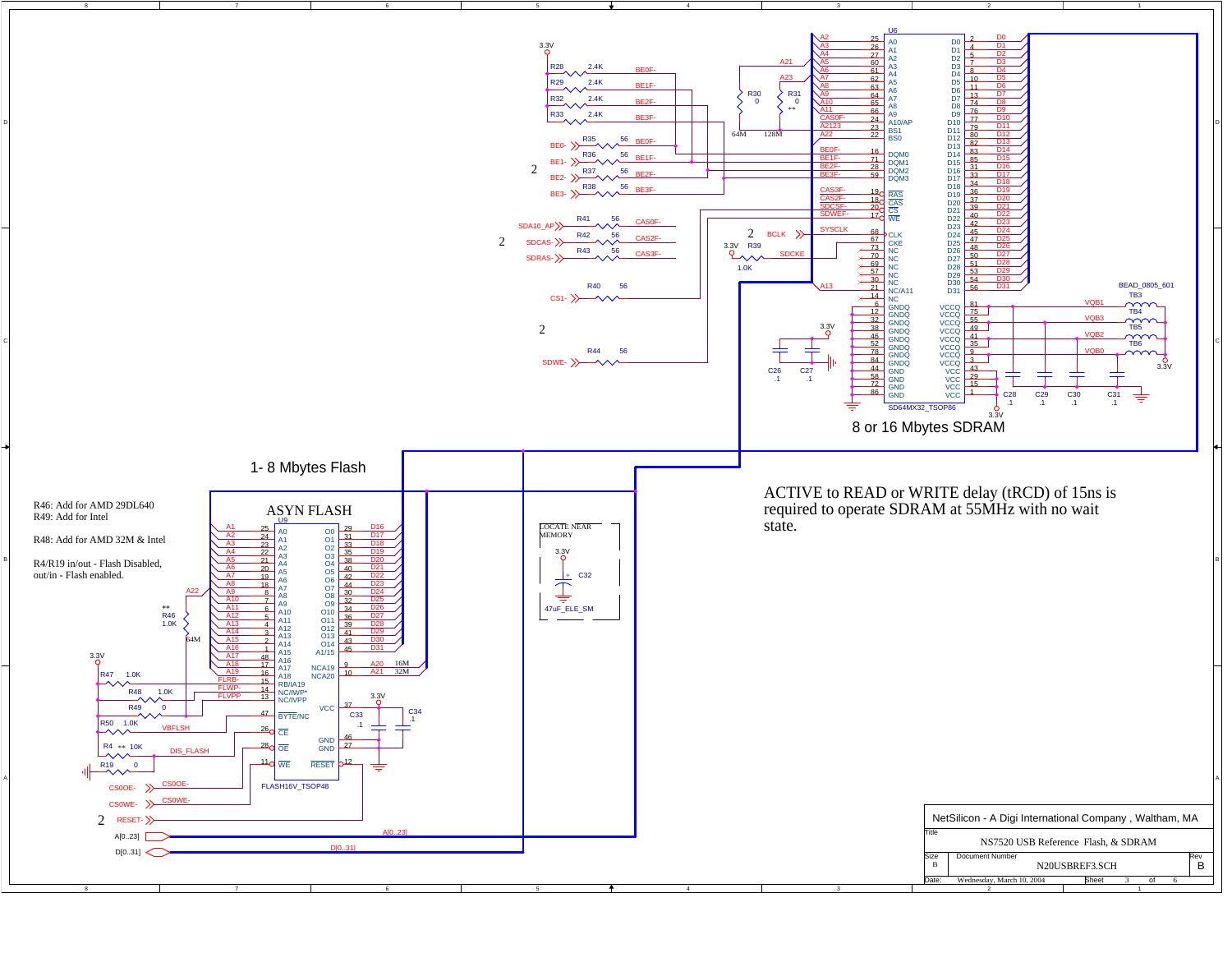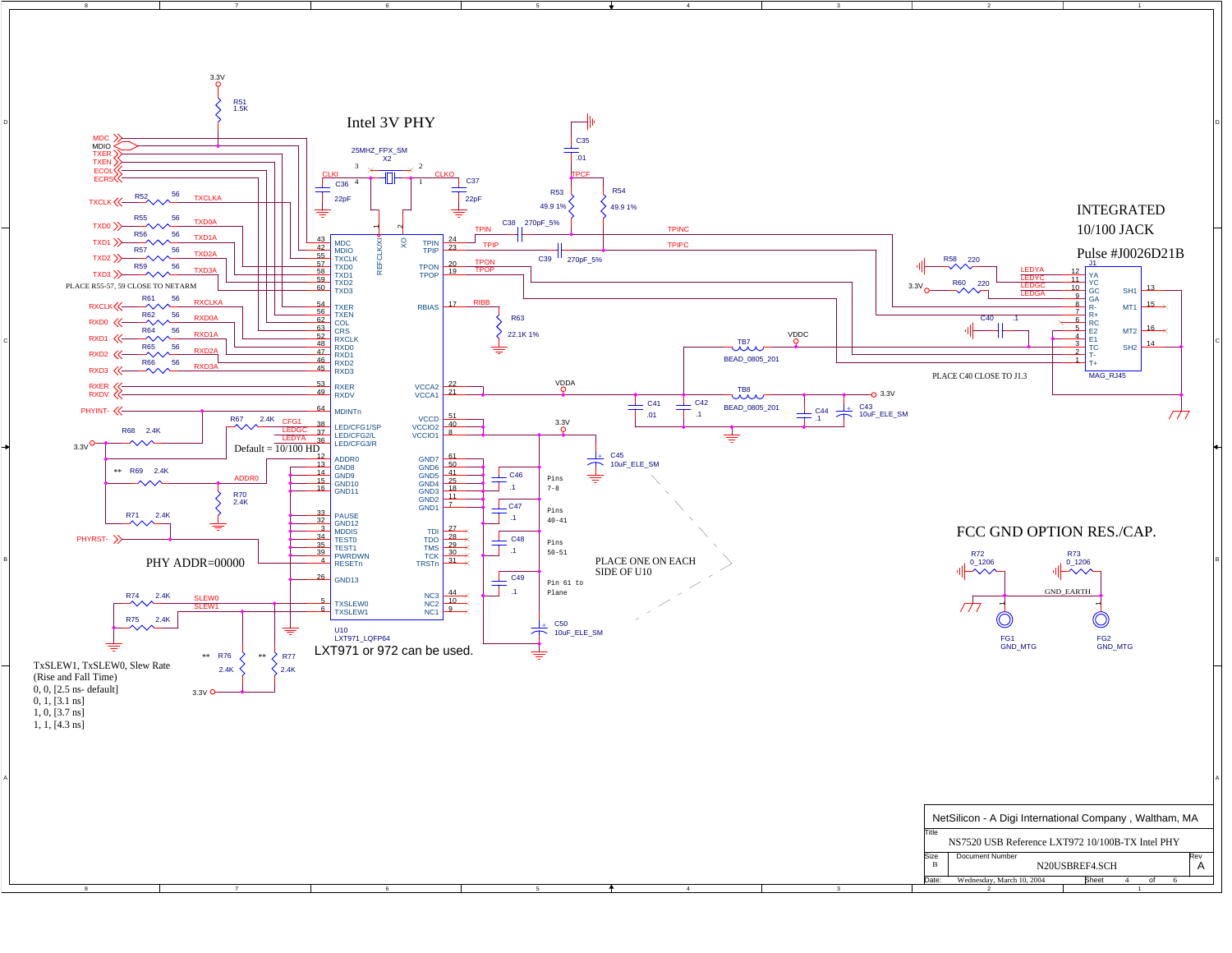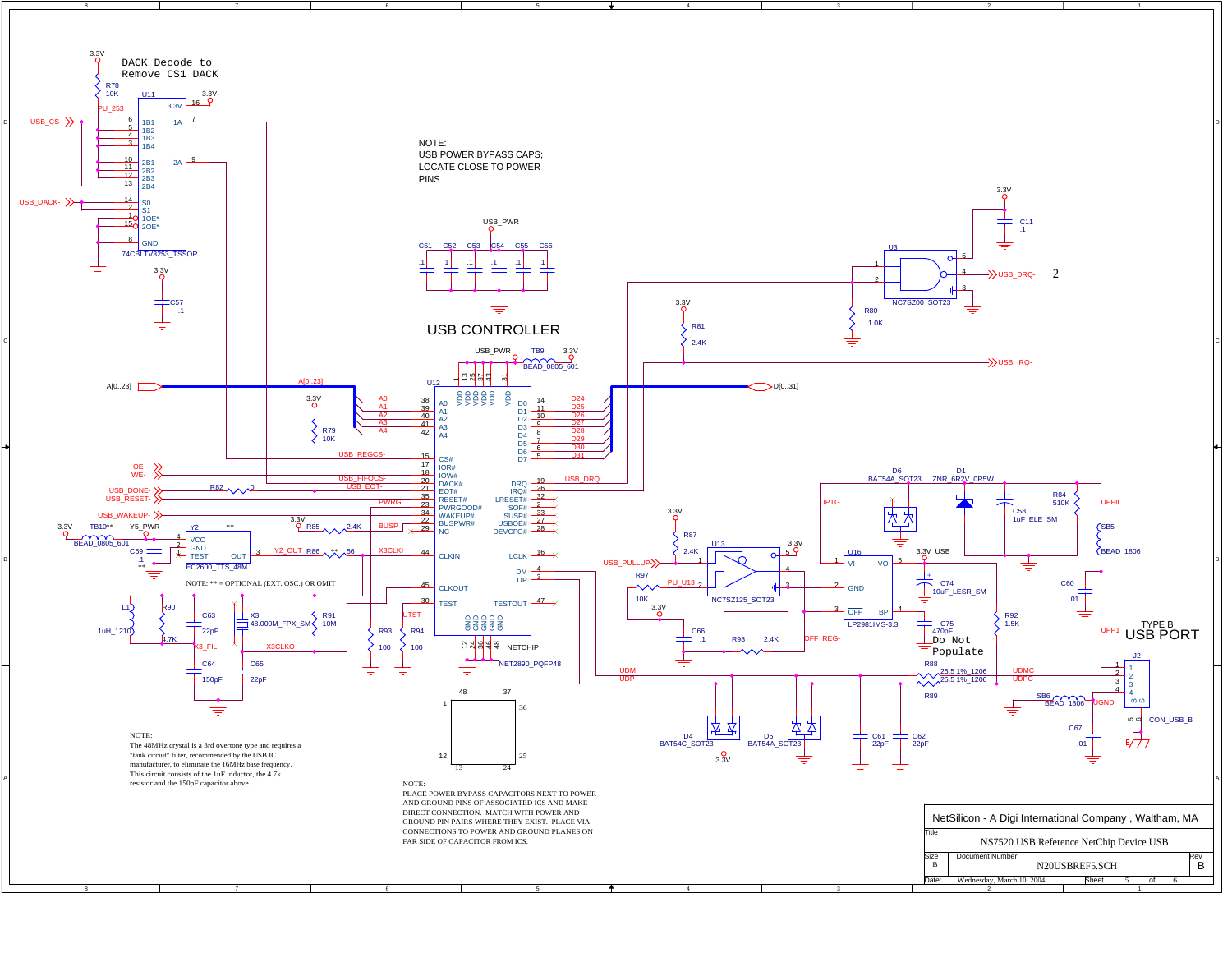